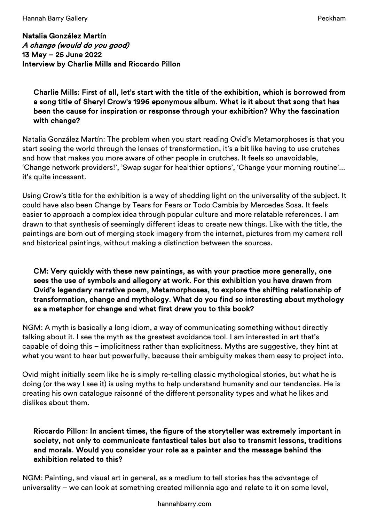Natalia González Martín A change (would do you good) 13 May – 25 June 2022 Interview by Charlie Mills and Riccardo Pillon

Charlie Mills: First of all, let's start with the title of the exhibition, which is borrowed from a song title of Sheryl Crow's 1996 eponymous album. What is it about that song that has been the cause for inspiration or response through your exhibition? Why the fascination with change?

Natalia González Martín: The problem when you start reading Ovid's Metamorphoses is that you start seeing the world through the lenses of transformation, it's a bit like having to use crutches and how that makes you more aware of other people in crutches. It feels so unavoidable, 'Change network providers!', 'Swap sugar for healthier options', 'Change your morning routine'... it's quite incessant.

Using Crow's title for the exhibition is a way of shedding light on the universality of the subject. It could have also been Change by Tears for Fears or Todo Cambia by Mercedes Sosa. It feels easier to approach a complex idea through popular culture and more relatable references. I am drawn to that synthesis of seemingly different ideas to create new things. Like with the title, the paintings are born out of merging stock imagery from the internet, pictures from my camera roll and historical paintings, without making a distinction between the sources.

## CM: Very quickly with these new paintings, as with your practice more generally, one sees the use of symbols and allegory at work. For this exhibition you have drawn from Ovid's legendary narrative poem, Metamorphoses, to explore the shifting relationship of transformation, change and mythology. What do you find so interesting about mythology as a metaphor for change and what first drew you to this book?

NGM: A myth is basically a long idiom, a way of communicating something without directly talking about it. I see the myth as the greatest avoidance tool. I am interested in art that's capable of doing this – implicitness rather than explicitness. Myths are suggestive, they hint at what you want to hear but powerfully, because their ambiguity makes them easy to project into.

Ovid might initially seem like he is simply re-telling classic mythological stories, but what he is doing (or the way I see it) is using myths to help understand humanity and our tendencies. He is creating his own catalogue raisonné of the different personality types and what he likes and dislikes about them.

# Riccardo Pillon: In ancient times, the figure of the storyteller was extremely important in society, not only to communicate fantastical tales but also to transmit lessons, traditions and morals. Would you consider your role as a painter and the message behind the exhibition related to this?

NGM: Painting, and visual art in general, as a medium to tell stories has the advantage of universality – we can look at something created millennia ago and relate to it on some level,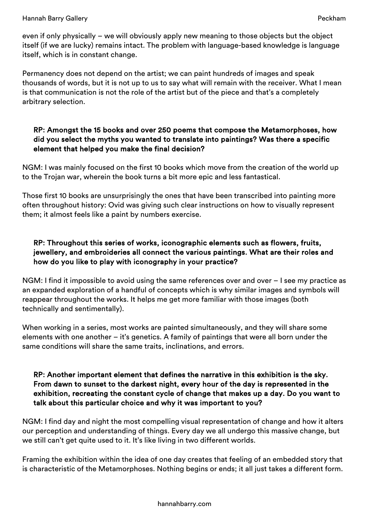even if only physically – we will obviously apply new meaning to those objects but the object itself (if we are lucky) remains intact. The problem with language-based knowledge is language itself, which is in constant change.

Permanency does not depend on the artist; we can paint hundreds of images and speak thousands of words, but it is not up to us to say what will remain with the receiver. What I mean is that communication is not the role of the artist but of the piece and that's a completely arbitrary selection.

## RP: Amongst the 15 books and over 250 poems that compose the Metamorphoses, how did you select the myths you wanted to translate into paintings? Was there a specific element that helped you make the final decision?

NGM: I was mainly focused on the first 10 books which move from the creation of the world up to the Trojan war, wherein the book turns a bit more epic and less fantastical.

Those first 10 books are unsurprisingly the ones that have been transcribed into painting more often throughout history: Ovid was giving such clear instructions on how to visually represent them; it almost feels like a paint by numbers exercise.

# RP: Throughout this series of works, iconographic elements such as flowers, fruits, jewellery, and embroideries all connect the various paintings. What are their roles and how do you like to play with iconography in your practice?

NGM: I find it impossible to avoid using the same references over and over – I see my practice as an expanded exploration of a handful of concepts which is why similar images and symbols will reappear throughout the works. It helps me get more familiar with those images (both technically and sentimentally).

When working in a series, most works are painted simultaneously, and they will share some elements with one another – it's genetics. A family of paintings that were all born under the same conditions will share the same traits, inclinations, and errors.

## RP: Another important element that defines the narrative in this exhibition is the sky. From dawn to sunset to the darkest night, every hour of the day is represented in the exhibition, recreating the constant cycle of change that makes up a day. Do you want to talk about this particular choice and why it was important to you?

NGM: I find day and night the most compelling visual representation of change and how it alters our perception and understanding of things. Every day we all undergo this massive change, but we still can't get quite used to it. It's like living in two different worlds.

Framing the exhibition within the idea of one day creates that feeling of an embedded story that is characteristic of the Metamorphoses. Nothing begins or ends; it all just takes a different form.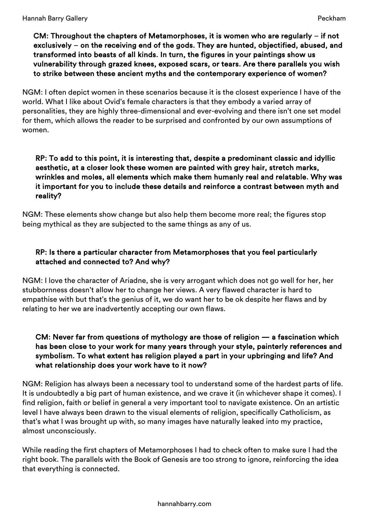### CM: Throughout the chapters of Metamorphoses, it is women who are regularly – if not exclusively – on the receiving end of the gods. They are hunted, objectified, abused, and transformed into beasts of all kinds. In turn, the figures in your paintings show us vulnerability through grazed knees, exposed scars, or tears. Are there parallels you wish to strike between these ancient myths and the contemporary experience of women?

NGM: I often depict women in these scenarios because it is the closest experience I have of the world. What I like about Ovid's female characters is that they embody a varied array of personalities, they are highly three-dimensional and ever-evolving and there isn't one set model for them, which allows the reader to be surprised and confronted by our own assumptions of women.

### RP: To add to this point, it is interesting that, despite a predominant classic and idyllic aesthetic, at a closer look these women are painted with grey hair, stretch marks, wrinkles and moles, all elements which make them humanly real and relatable. Why was it important for you to include these details and reinforce a contrast between myth and reality?

NGM: These elements show change but also help them become more real; the figures stop being mythical as they are subjected to the same things as any of us.

# RP: Is there a particular character from Metamorphoses that you feel particularly attached and connected to? And why?

NGM: I love the character of Ariadne, she is very arrogant which does not go well for her, her stubbornness doesn't allow her to change her views. A very flawed character is hard to empathise with but that's the genius of it, we do want her to be ok despite her flaws and by relating to her we are inadvertently accepting our own flaws.

# CM: Never far from questions of mythology are those of religion — a fascination which has been close to your work for many years through your style, painterly references and symbolism. To what extent has religion played a part in your upbringing and life? And what relationship does your work have to it now?

NGM: Religion has always been a necessary tool to understand some of the hardest parts of life. It is undoubtedly a big part of human existence, and we crave it (in whichever shape it comes). I find religion, faith or belief in general a very important tool to navigate existence. On an artistic level I have always been drawn to the visual elements of religion, specifically Catholicism, as that's what I was brought up with, so many images have naturally leaked into my practice, almost unconsciously.

While reading the first chapters of Metamorphoses I had to check often to make sure I had the right book. The parallels with the Book of Genesis are too strong to ignore, reinforcing the idea that everything is connected.